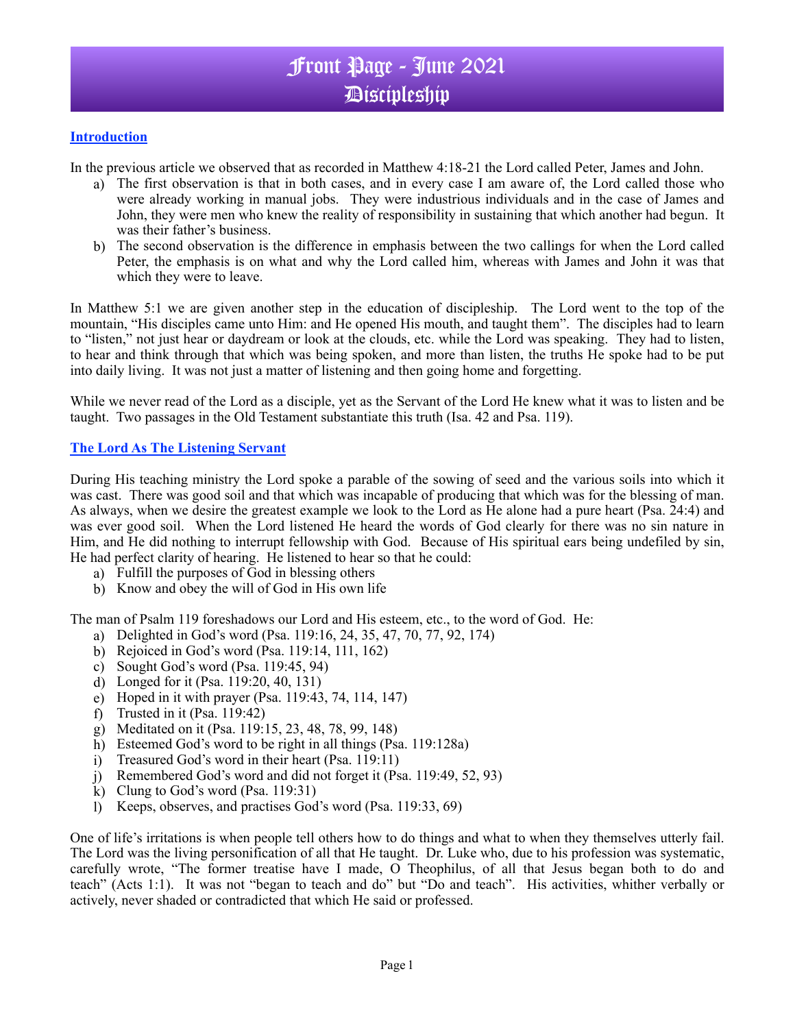# Front Page - June 2021 Discipleship

### **Introduction**

In the previous article we observed that as recorded in Matthew 4:18-21 the Lord called Peter, James and John.

- a) The first observation is that in both cases, and in every case I am aware of, the Lord called those who were already working in manual jobs. They were industrious individuals and in the case of James and John, they were men who knew the reality of responsibility in sustaining that which another had begun. It was their father's business.
- b) The second observation is the difference in emphasis between the two callings for when the Lord called Peter, the emphasis is on what and why the Lord called him, whereas with James and John it was that which they were to leave.

In Matthew 5:1 we are given another step in the education of discipleship. The Lord went to the top of the mountain, "His disciples came unto Him: and He opened His mouth, and taught them". The disciples had to learn to "listen," not just hear or daydream or look at the clouds, etc. while the Lord was speaking. They had to listen, to hear and think through that which was being spoken, and more than listen, the truths He spoke had to be put into daily living. It was not just a matter of listening and then going home and forgetting.

While we never read of the Lord as a disciple, yet as the Servant of the Lord He knew what it was to listen and be taught. Two passages in the Old Testament substantiate this truth (Isa. 42 and Psa. 119).

#### **The Lord As The Listening Servant**

During His teaching ministry the Lord spoke a parable of the sowing of seed and the various soils into which it was cast. There was good soil and that which was incapable of producing that which was for the blessing of man. As always, when we desire the greatest example we look to the Lord as He alone had a pure heart (Psa. 24:4) and was ever good soil. When the Lord listened He heard the words of God clearly for there was no sin nature in Him, and He did nothing to interrupt fellowship with God. Because of His spiritual ears being undefiled by sin, He had perfect clarity of hearing. He listened to hear so that he could:

- a) Fulfill the purposes of God in blessing others
- b) Know and obey the will of God in His own life

The man of Psalm 119 foreshadows our Lord and His esteem, etc., to the word of God. He:

- a) Delighted in God's word (Psa. 119:16, 24, 35, 47, 70, 77, 92, 174)
- b) Rejoiced in God's word (Psa. 119:14, 111, 162)
- c) Sought God's word (Psa. 119:45, 94)
- d) Longed for it (Psa. 119:20, 40, 131)
- e) Hoped in it with prayer (Psa. 119:43, 74, 114, 147)
- f) Trusted in it (Psa. 119:42)
- g) Meditated on it (Psa. 119:15, 23, 48, 78, 99, 148)
- h) Esteemed God's word to be right in all things (Psa. 119:128a)
- i) Treasured God's word in their heart (Psa. 119:11)
- j) Remembered God's word and did not forget it (Psa. 119:49, 52, 93)
- k) Clung to God's word  $(Psa. 119:31)$
- l) Keeps, observes, and practises God's word (Psa. 119:33, 69)

One of life's irritations is when people tell others how to do things and what to when they themselves utterly fail. The Lord was the living personification of all that He taught. Dr. Luke who, due to his profession was systematic, carefully wrote, "The former treatise have I made, O Theophilus, of all that Jesus began both to do and teach" (Acts 1:1). It was not "began to teach and do" but "Do and teach". His activities, whither verbally or actively, never shaded or contradicted that which He said or professed.